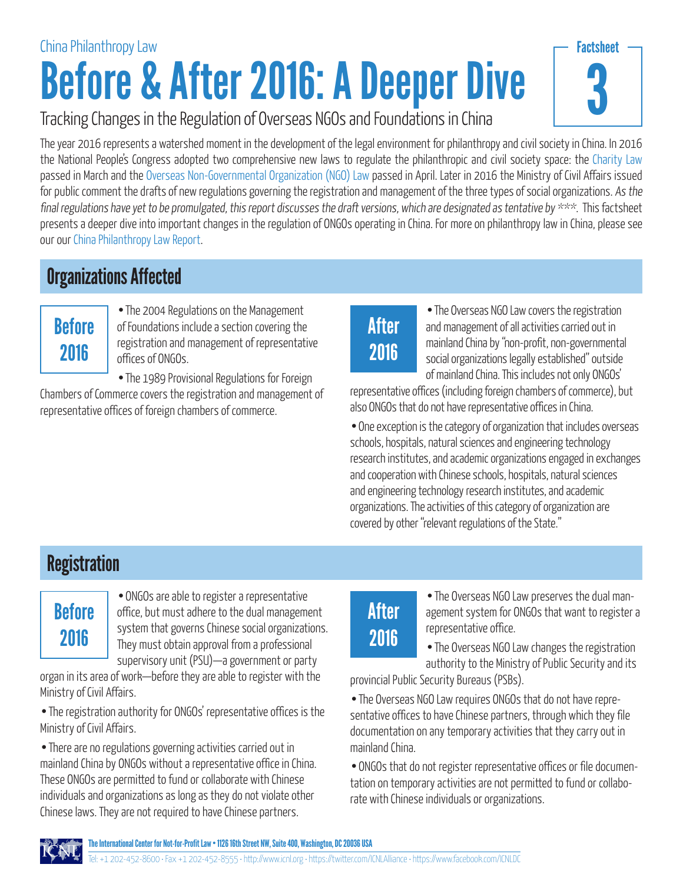# Before & After 2016: A Deeper Dive China Philanthropy Law



#### Tracking Changes in the Regulation of Overseas NGOs and Foundations in China

The year 2016 represents a watershed moment in the development of the legal environment for philanthropy and civil society in China. In 2016 the National People's Congress adopted two comprehensive new laws to regulate the philanthropic and civil society space: the [Charity Law](http://www.chinadevelopmentbrief.cn/wp-content/uploads/2016/04/Charity-Law-CDB-Translation.pdf) passed in March and the [Overseas Non-Governmental Organization \(NGO\) Law](http://www.mps.gov.cn/n2254314/n2254409/n4904353/c5548987/content.html) passed in April. Later in 2016 the Ministry of Civil Affairs issued for public comment the drafts of new regulations governing the registration and management of the three types of social organizations. As the final regulations have yet to be promulgated, this report discusses the draft versions, which are designated as tentative by  $***$ . This factsheet presents a deeper dive into important changes in the regulation of ONGOs operating in China. For more on philanthropy law in China, please see our our [China Philanthropy Law Report.](http://www.icnl.org/research/Philanthropy/China.html)

#### Organizations Affected

### **Before** 2016

• The 2004 Regulations on the Management of Foundations include a section covering the registration and management of representative offices of ONGOs.

• The 1989 Provisional Regulations for Foreign

Chambers of Commerce covers the registration and management of representative offices of foreign chambers of commerce.

## After 2016

• The Overseas NGO Law covers the registration and management of all activities carried out in mainland China by "non-profit, non-governmental social organizations legally established" outside of mainland China. This includes not only ONGOs'

representative offices (including foreign chambers of commerce), but also ONGOs that do not have representative offices in China.

• One exception is the category of organization that includes overseas schools, hospitals, natural sciences and engineering technology research institutes, and academic organizations engaged in exchanges and cooperation with Chinese schools, hospitals, natural sciences and engineering technology research institutes, and academic organizations. The activities of this category of organization are covered by other "relevant regulations of the State."

#### **Registration**

#### **Before** 2016

• ONGOs are able to register a representative office, but must adhere to the dual management system that governs Chinese social organizations. They must obtain approval from a professional supervisory unit (PSU)—a government or party

organ in its area of work—before they are able to register with the Ministry of Civil Affairs.

• The registration authority for ONGOs' representative offices is the Ministry of Civil Affairs.

• There are no regulations governing activities carried out in mainland China by ONGOs without a representative office in China. These ONGOs are permitted to fund or collaborate with Chinese individuals and organizations as long as they do not violate other Chinese laws. They are not required to have Chinese partners.

## After 2016

• The Overseas NGO Law preserves the dual management system for ONGOs that want to register a representative office.

• The Overseas NGO Law changes the registration authority to the Ministry of Public Security and its

provincial Public Security Bureaus (PSBs).

• The Overseas NGO Law requires ONGOs that do not have representative offices to have Chinese partners, through which they file documentation on any temporary activities that they carry out in mainland China.

• ONGOs that do not register representative offices or file documentation on temporary activities are not permitted to fund or collaborate with Chinese individuals or organizations.

The International Center for Not-for-Profit Law • 1126 16th Street NW, Suite 400, Washington, DC 20036 USA Tel: +1 202-452-8600 • Fax +1 202-452-8555 • http://www.icnl.org • https://twitter.com/ICNLAlliance • https://www.facebook.com/ICNLDC